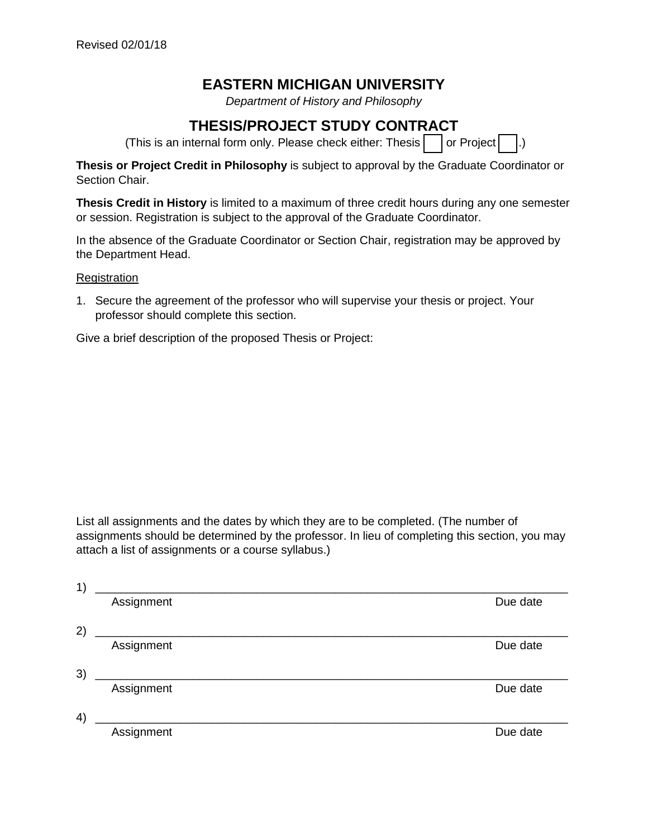## **EASTERN MICHIGAN UNIVERSITY**

*Department of History and Philosophy*

## **THESIS/PROJECT STUDY CONTRACT**

(This is an internal form only. Please check either: Thesis  $\vert \cdot \vert$  or Project  $\vert \cdot \vert$ .)

**Thesis or Project Credit in Philosophy** is subject to approval by the Graduate Coordinator or Section Chair.

**Thesis Credit in History** is limited to a maximum of three credit hours during any one semester or session. Registration is subject to the approval of the Graduate Coordinator.

In the absence of the Graduate Coordinator or Section Chair, registration may be approved by the Department Head.

**Registration** 

1. Secure the agreement of the professor who will supervise your thesis or project. Your professor should complete this section.

Give a brief description of the proposed Thesis or Project:

List all assignments and the dates by which they are to be completed. (The number of assignments should be determined by the professor. In lieu of completing this section, you may attach a list of assignments or a course syllabus.)

| 1) |                                                                                                                      |          |
|----|----------------------------------------------------------------------------------------------------------------------|----------|
|    | Assignment                                                                                                           | Due date |
| 2) |                                                                                                                      |          |
|    | Assignment                                                                                                           | Due date |
| 3) | <u> 1980 - Jan Stein Stein Stein Stein Stein Stein Stein Stein Stein Stein Stein Stein Stein Stein Stein Stein S</u> |          |
|    | Assignment                                                                                                           | Due date |
| 4) |                                                                                                                      |          |
|    | Assignment                                                                                                           | Due date |